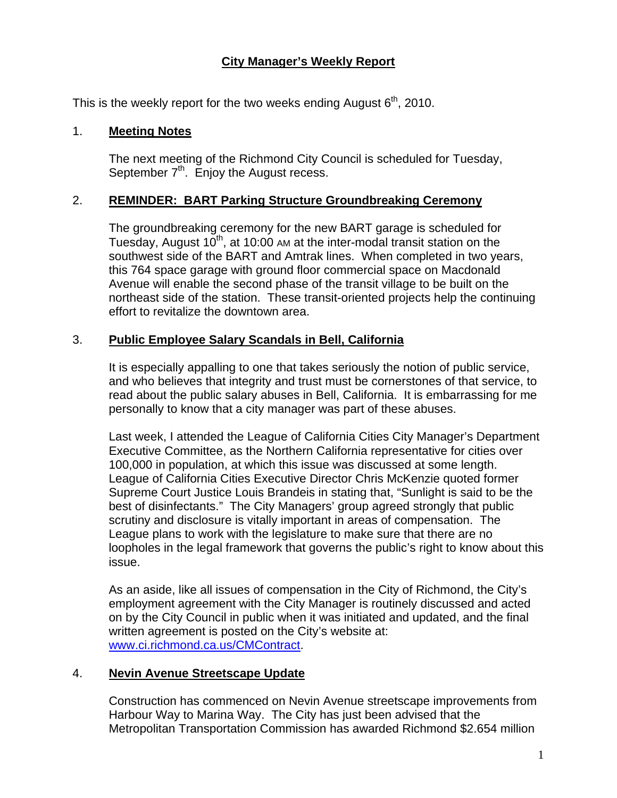# **City Manager's Weekly Report**

This is the weekly report for the two weeks ending August  $6<sup>th</sup>$ , 2010.

#### 1. **Meeting Notes**

The next meeting of the Richmond City Council is scheduled for Tuesday, September  $7<sup>th</sup>$ . Enjoy the August recess.

#### 2. **REMINDER: BART Parking Structure Groundbreaking Ceremony**

The groundbreaking ceremony for the new BART garage is scheduled for Tuesday, August  $10<sup>th</sup>$ , at 10:00 AM at the inter-modal transit station on the southwest side of the BART and Amtrak lines. When completed in two years, this 764 space garage with ground floor commercial space on Macdonald Avenue will enable the second phase of the transit village to be built on the northeast side of the station. These transit-oriented projects help the continuing effort to revitalize the downtown area.

### 3. **Public Employee Salary Scandals in Bell, California**

It is especially appalling to one that takes seriously the notion of public service, and who believes that integrity and trust must be cornerstones of that service, to read about the public salary abuses in Bell, California. It is embarrassing for me personally to know that a city manager was part of these abuses.

Last week, I attended the League of California Cities City Manager's Department Executive Committee, as the Northern California representative for cities over 100,000 in population, at which this issue was discussed at some length. League of California Cities Executive Director Chris McKenzie quoted former Supreme Court Justice Louis Brandeis in stating that, "Sunlight is said to be the best of disinfectants." The City Managers' group agreed strongly that public scrutiny and disclosure is vitally important in areas of compensation. The League plans to work with the legislature to make sure that there are no loopholes in the legal framework that governs the public's right to know about this issue.

As an aside, like all issues of compensation in the City of Richmond, the City's employment agreement with the City Manager is routinely discussed and acted on by the City Council in public when it was initiated and updated, and the final written agreement is posted on the City's website at: [www.ci.richmond.ca.us/CMContract](http://www.ci.richmond.ca.us/CMContract).

### 4. **Nevin Avenue Streetscape Update**

Construction has commenced on Nevin Avenue streetscape improvements from Harbour Way to Marina Way. The City has just been advised that the Metropolitan Transportation Commission has awarded Richmond \$2.654 million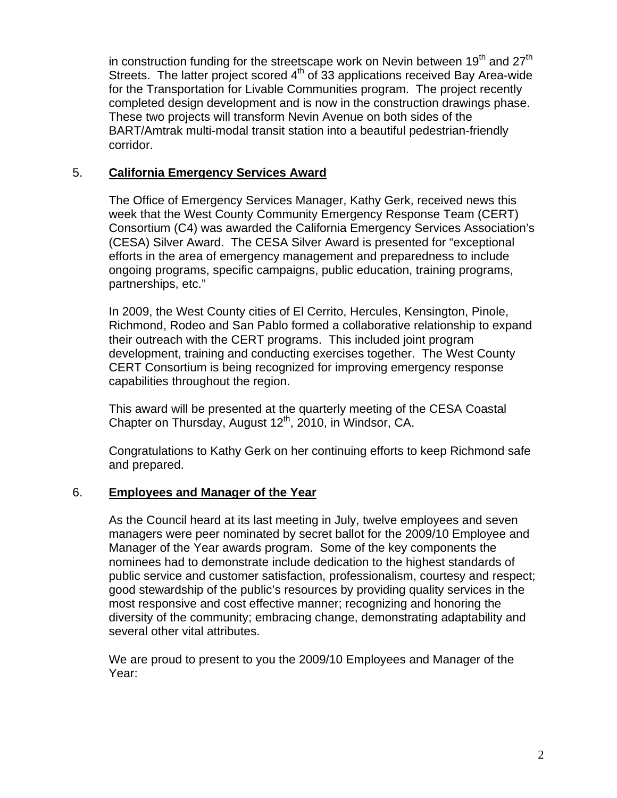in construction funding for the streetscape work on Nevin between  $19<sup>th</sup>$  and  $27<sup>th</sup>$ Streets. The latter project scored  $4<sup>th</sup>$  of 33 applications received Bay Area-wide for the Transportation for Livable Communities program. The project recently completed design development and is now in the construction drawings phase. These two projects will transform Nevin Avenue on both sides of the BART/Amtrak multi-modal transit station into a beautiful pedestrian-friendly corridor.

### 5. **California Emergency Services Award**

The Office of Emergency Services Manager, Kathy Gerk, received news this week that the West County Community Emergency Response Team (CERT) Consortium (C4) was awarded the California Emergency Services Association's (CESA) Silver Award. The CESA Silver Award is presented for "exceptional efforts in the area of emergency management and preparedness to include ongoing programs, specific campaigns, public education, training programs, partnerships, etc."

In 2009, the West County cities of El Cerrito, Hercules, Kensington, Pinole, Richmond, Rodeo and San Pablo formed a collaborative relationship to expand their outreach with the CERT programs. This included joint program development, training and conducting exercises together. The West County CERT Consortium is being recognized for improving emergency response capabilities throughout the region.

This award will be presented at the quarterly meeting of the CESA Coastal Chapter on Thursday, August 12<sup>th</sup>, 2010, in Windsor, CA.

Congratulations to Kathy Gerk on her continuing efforts to keep Richmond safe and prepared.

# 6. **Employees and Manager of the Year**

As the Council heard at its last meeting in July, twelve employees and seven managers were peer nominated by secret ballot for the 2009/10 Employee and Manager of the Year awards program. Some of the key components the nominees had to demonstrate include dedication to the highest standards of public service and customer satisfaction, professionalism, courtesy and respect; good stewardship of the public's resources by providing quality services in the most responsive and cost effective manner; recognizing and honoring the diversity of the community; embracing change, demonstrating adaptability and several other vital attributes.

We are proud to present to you the 2009/10 Employees and Manager of the Year: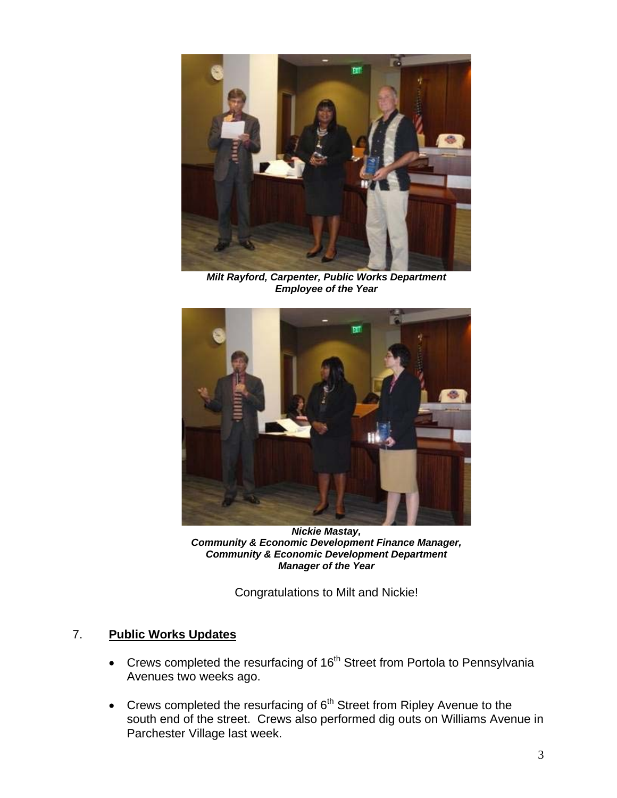

*Milt Rayford, Carpenter, Public Works Department Employee of the Year* 



*Nickie Mastay, Community & Economic Development Finance Manager, Community & Economic Development Department Manager of the Year* 

Congratulations to Milt and Nickie!

### 7. **Public Works Updates**

- $\bullet$  Crews completed the resurfacing of 16<sup>th</sup> Street from Portola to Pennsylvania Avenues two weeks ago.
- Crews completed the resurfacing of  $6<sup>th</sup>$  Street from Ripley Avenue to the south end of the street. Crews also performed dig outs on Williams Avenue in Parchester Village last week.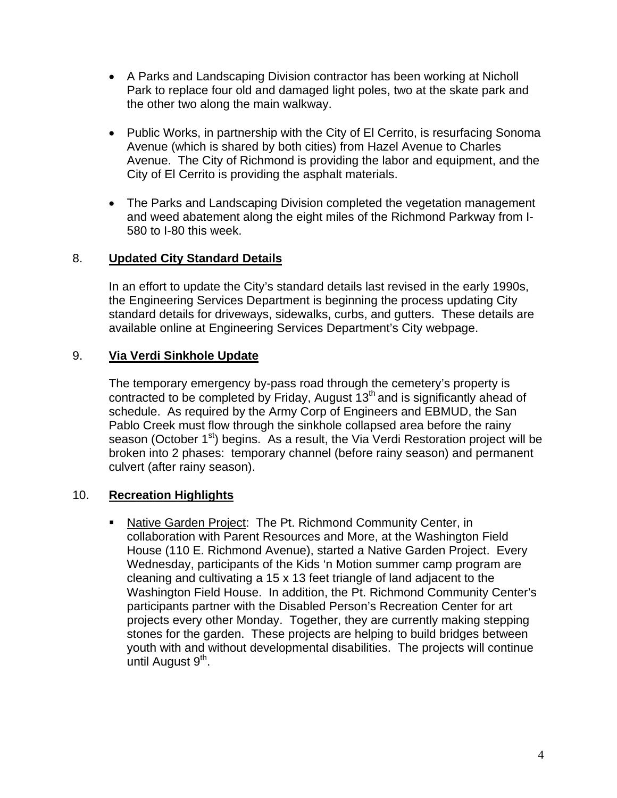- A Parks and Landscaping Division contractor has been working at Nicholl Park to replace four old and damaged light poles, two at the skate park and the other two along the main walkway.
- Public Works, in partnership with the City of El Cerrito, is resurfacing Sonoma Avenue (which is shared by both cities) from Hazel Avenue to Charles Avenue. The City of Richmond is providing the labor and equipment, and the City of El Cerrito is providing the asphalt materials.
- The Parks and Landscaping Division completed the vegetation management and weed abatement along the eight miles of the Richmond Parkway from I-580 to I-80 this week.

### 8. **Updated City Standard Details**

In an effort to update the City's standard details last revised in the early 1990s, the Engineering Services Department is beginning the process updating City standard details for driveways, sidewalks, curbs, and gutters. These details are available online at Engineering Services Department's City webpage.

### 9. **Via Verdi Sinkhole Update**

The temporary emergency by-pass road through the cemetery's property is contracted to be completed by Friday, August  $13<sup>th</sup>$  and is significantly ahead of schedule. As required by the Army Corp of Engineers and EBMUD, the San Pablo Creek must flow through the sinkhole collapsed area before the rainy season (October 1<sup>st</sup>) begins. As a result, the Via Verdi Restoration project will be broken into 2 phases: temporary channel (before rainy season) and permanent culvert (after rainy season).

# 10. **Recreation Highlights**

 Native Garden Project: The Pt. Richmond Community Center, in collaboration with Parent Resources and More, at the Washington Field House (110 E. Richmond Avenue), started a Native Garden Project. Every Wednesday, participants of the Kids 'n Motion summer camp program are cleaning and cultivating a 15 x 13 feet triangle of land adjacent to the Washington Field House. In addition, the Pt. Richmond Community Center's participants partner with the Disabled Person's Recreation Center for art projects every other Monday. Together, they are currently making stepping stones for the garden. These projects are helping to build bridges between youth with and without developmental disabilities. The projects will continue until August 9<sup>th</sup>.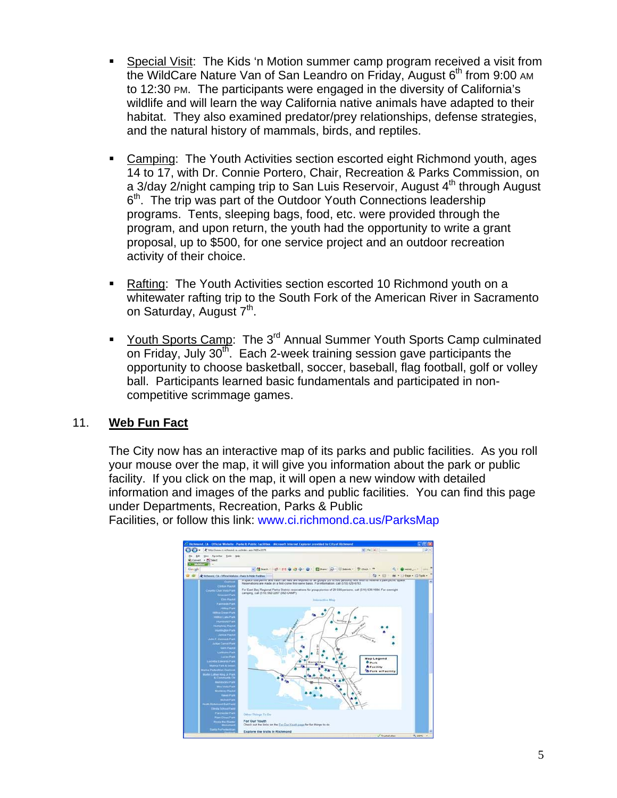- Special Visit: The Kids 'n Motion summer camp program received a visit from the WildCare Nature Van of San Leandro on Friday, August  $6<sup>th</sup>$  from 9:00 AM to 12:30 PM. The participants were engaged in the diversity of California's wildlife and will learn the way California native animals have adapted to their habitat. They also examined predator/prey relationships, defense strategies, and the natural history of mammals, birds, and reptiles.
- **EXEC** Camping: The Youth Activities section escorted eight Richmond youth, ages 14 to 17, with Dr. Connie Portero, Chair, Recreation & Parks Commission, on a 3/day 2/night camping trip to San Luis Reservoir, August 4<sup>th</sup> through August  $6<sup>th</sup>$ . The trip was part of the Outdoor Youth Connections leadership programs. Tents, sleeping bags, food, etc. were provided through the program, and upon return, the youth had the opportunity to write a grant proposal, up to \$500, for one service project and an outdoor recreation activity of their choice.
- Rafting: The Youth Activities section escorted 10 Richmond youth on a whitewater rafting trip to the South Fork of the American River in Sacramento on Saturday, August 7<sup>th</sup>.
- Youth Sports Camp: The 3<sup>rd</sup> Annual Summer Youth Sports Camp culminated on Friday, July 30<sup>th</sup>. Each 2-week training session gave participants the opportunity to choose basketball, soccer, baseball, flag football, golf or volley ball. Participants learned basic fundamentals and participated in noncompetitive scrimmage games.

# 11. **Web Fun Fact**

The City now has an interactive map of its parks and public facilities. As you roll your mouse over the map, it will give you information about the park or public facility. If you click on the map, it will open a new window with detailed information and images of the parks and public facilities. You can find this page under Departments, Recreation, Parks & Public

Facilities, or follow this link: [www.ci.richmond.ca.us/ParksMap](http://www.ci.richmond.ca.us/ParksMap)